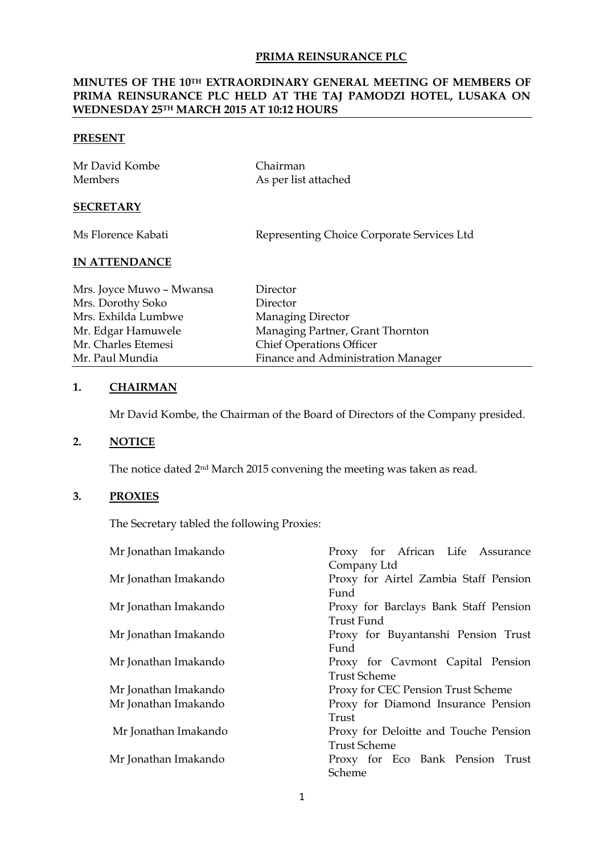### **PRIMA REINSURANCE PLC**

## **MINUTES OF THE 10TH EXTRAORDINARY GENERAL MEETING OF MEMBERS OF PRIMA REINSURANCE PLC HELD AT THE TAJ PAMODZI HOTEL, LUSAKA ON WEDNESDAY 25TH MARCH 2015 AT 10:12 HOURS**

#### **PRESENT**

| Mr David Kombe | Chairman             |
|----------------|----------------------|
| <b>Members</b> | As per list attached |
|                |                      |

## **SECRETARY**

| Ms Florence Kabati | Representing Choice Corporate Services Ltd |
|--------------------|--------------------------------------------|
|--------------------|--------------------------------------------|

# **IN ATTENDANCE**

| Mrs. Joyce Muwo - Mwansa | Director                           |
|--------------------------|------------------------------------|
| Mrs. Dorothy Soko        | Director                           |
| Mrs. Exhilda Lumbwe      | Managing Director                  |
| Mr. Edgar Hamuwele       | Managing Partner, Grant Thornton   |
| Mr. Charles Etemesi      | <b>Chief Operations Officer</b>    |
| Mr. Paul Mundia          | Finance and Administration Manager |

## **1. CHAIRMAN**

Mr David Kombe, the Chairman of the Board of Directors of the Company presided.

# **2. NOTICE**

The notice dated 2nd March 2015 convening the meeting was taken as read.

## **3. PROXIES**

The Secretary tabled the following Proxies:

| Mr Jonathan Imakando | Proxy for African Life Assurance      |
|----------------------|---------------------------------------|
|                      | Company Ltd                           |
| Mr Jonathan Imakando | Proxy for Airtel Zambia Staff Pension |
|                      | Fund                                  |
| Mr Jonathan Imakando | Proxy for Barclays Bank Staff Pension |
|                      | Trust Fund                            |
| Mr Jonathan Imakando | Proxy for Buyantanshi Pension Trust   |
|                      | Fund                                  |
| Mr Jonathan Imakando | Proxy for Cavmont Capital Pension     |
|                      | Trust Scheme                          |
| Mr Jonathan Imakando | Proxy for CEC Pension Trust Scheme    |
| Mr Jonathan Imakando | Proxy for Diamond Insurance Pension   |
|                      | Trust                                 |
| Mr Jonathan Imakando | Proxy for Deloitte and Touche Pension |
|                      | Trust Scheme                          |
| Mr Jonathan Imakando | Proxy for Eco Bank Pension Trust      |
|                      | Scheme                                |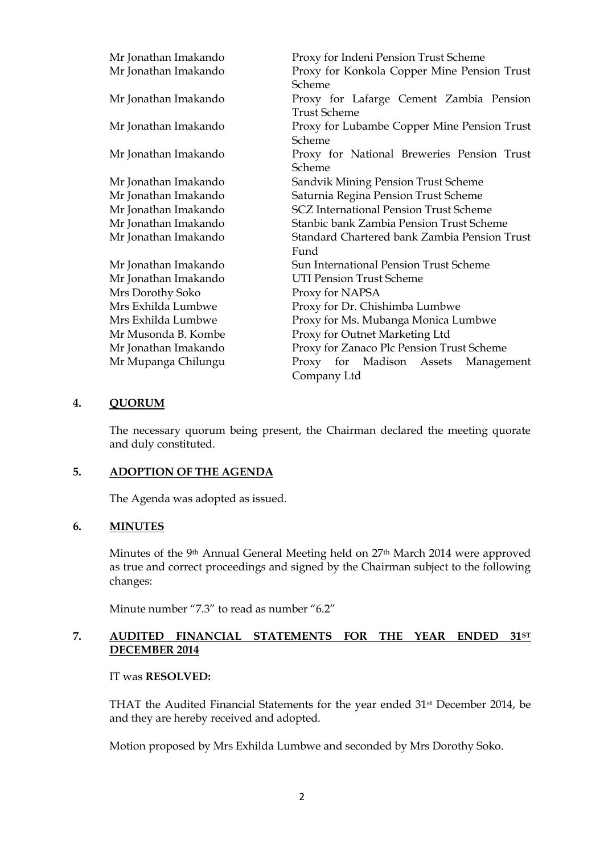| Mr Jonathan Imakando | Proxy for Indeni Pension Trust Scheme         |
|----------------------|-----------------------------------------------|
| Mr Jonathan Imakando | Proxy for Konkola Copper Mine Pension Trust   |
|                      | Scheme                                        |
| Mr Jonathan Imakando | Proxy for Lafarge Cement Zambia Pension       |
|                      | <b>Trust Scheme</b>                           |
| Mr Jonathan Imakando | Proxy for Lubambe Copper Mine Pension Trust   |
|                      | Scheme                                        |
| Mr Jonathan Imakando | Proxy for National Breweries Pension Trust    |
|                      | Scheme                                        |
| Mr Jonathan Imakando | Sandvik Mining Pension Trust Scheme           |
| Mr Jonathan Imakando | Saturnia Regina Pension Trust Scheme          |
| Mr Jonathan Imakando | <b>SCZ International Pension Trust Scheme</b> |
| Mr Jonathan Imakando | Stanbic bank Zambia Pension Trust Scheme      |
| Mr Jonathan Imakando | Standard Chartered bank Zambia Pension Trust  |
|                      | Fund                                          |
| Mr Jonathan Imakando | Sun International Pension Trust Scheme        |
| Mr Jonathan Imakando | <b>UTI Pension Trust Scheme</b>               |
| Mrs Dorothy Soko     | Proxy for NAPSA                               |
| Mrs Exhilda Lumbwe   | Proxy for Dr. Chishimba Lumbwe                |
| Mrs Exhilda Lumbwe   | Proxy for Ms. Mubanga Monica Lumbwe           |
| Mr Musonda B. Kombe  | Proxy for Outnet Marketing Ltd                |
| Mr Jonathan Imakando | Proxy for Zanaco Plc Pension Trust Scheme     |
| Mr Mupanga Chilungu  | Proxy for Madison Assets<br>Management        |
|                      | Company Ltd                                   |

### **4. QUORUM**

The necessary quorum being present, the Chairman declared the meeting quorate and duly constituted.

### **5. ADOPTION OF THE AGENDA**

The Agenda was adopted as issued.

#### **6. MINUTES**

Minutes of the 9th Annual General Meeting held on 27th March 2014 were approved as true and correct proceedings and signed by the Chairman subject to the following changes:

Minute number "7.3" to read as number "6.2"

## **7. AUDITED FINANCIAL STATEMENTS FOR THE YEAR ENDED 31ST DECEMBER 2014**

#### IT was **RESOLVED:**

THAT the Audited Financial Statements for the year ended 31st December 2014, be and they are hereby received and adopted.

Motion proposed by Mrs Exhilda Lumbwe and seconded by Mrs Dorothy Soko.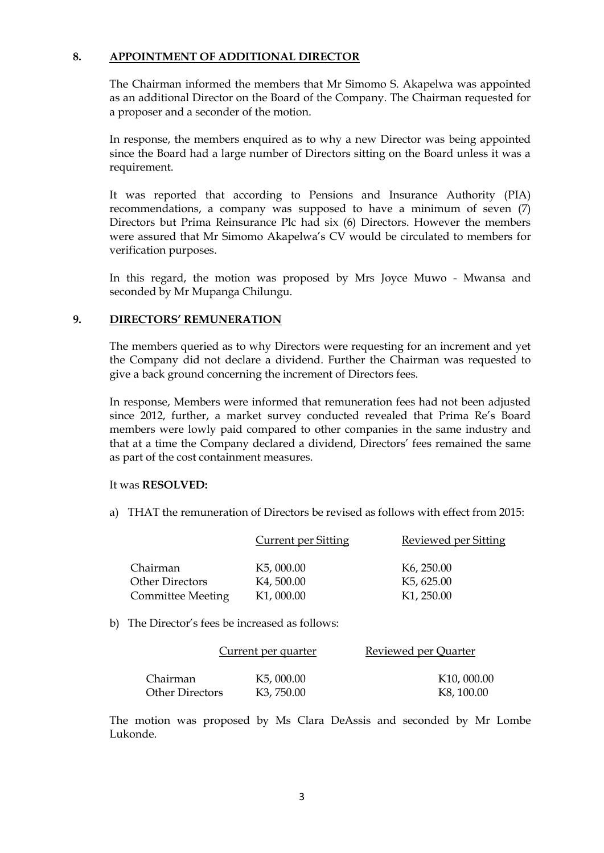## **8. APPOINTMENT OF ADDITIONAL DIRECTOR**

The Chairman informed the members that Mr Simomo S. Akapelwa was appointed as an additional Director on the Board of the Company. The Chairman requested for a proposer and a seconder of the motion.

In response, the members enquired as to why a new Director was being appointed since the Board had a large number of Directors sitting on the Board unless it was a requirement.

It was reported that according to Pensions and Insurance Authority (PIA) recommendations, a company was supposed to have a minimum of seven (7) Directors but Prima Reinsurance Plc had six (6) Directors. However the members were assured that Mr Simomo Akapelwa's CV would be circulated to members for verification purposes.

In this regard, the motion was proposed by Mrs Joyce Muwo - Mwansa and seconded by Mr Mupanga Chilungu.

### **9. DIRECTORS' REMUNERATION**

The members queried as to why Directors were requesting for an increment and yet the Company did not declare a dividend. Further the Chairman was requested to give a back ground concerning the increment of Directors fees.

In response, Members were informed that remuneration fees had not been adjusted since 2012, further, a market survey conducted revealed that Prima Re's Board members were lowly paid compared to other companies in the same industry and that at a time the Company declared a dividend, Directors' fees remained the same as part of the cost containment measures.

#### It was **RESOLVED:**

a) THAT the remuneration of Directors be revised as follows with effect from 2015:

|                          | <b>Current per Sitting</b> | Reviewed per Sitting    |
|--------------------------|----------------------------|-------------------------|
| Chairman                 | K <sub>5</sub> , 000.00    | K <sub>6</sub> , 250.00 |
| <b>Other Directors</b>   | K4,500.00                  | K <sub>5</sub> , 625.00 |
| <b>Committee Meeting</b> | K <sub>1</sub> , 000.00    | K <sub>1</sub> , 250.00 |

b) The Director's fees be increased as follows:

|                        | Current per quarter     | Reviewed per Quarter |
|------------------------|-------------------------|----------------------|
| Chairman               | K <sub>5</sub> , 000.00 | K10, 000.00          |
| <b>Other Directors</b> | K <sub>3</sub> , 750.00 | K8, 100.00           |

The motion was proposed by Ms Clara DeAssis and seconded by Mr Lombe Lukonde.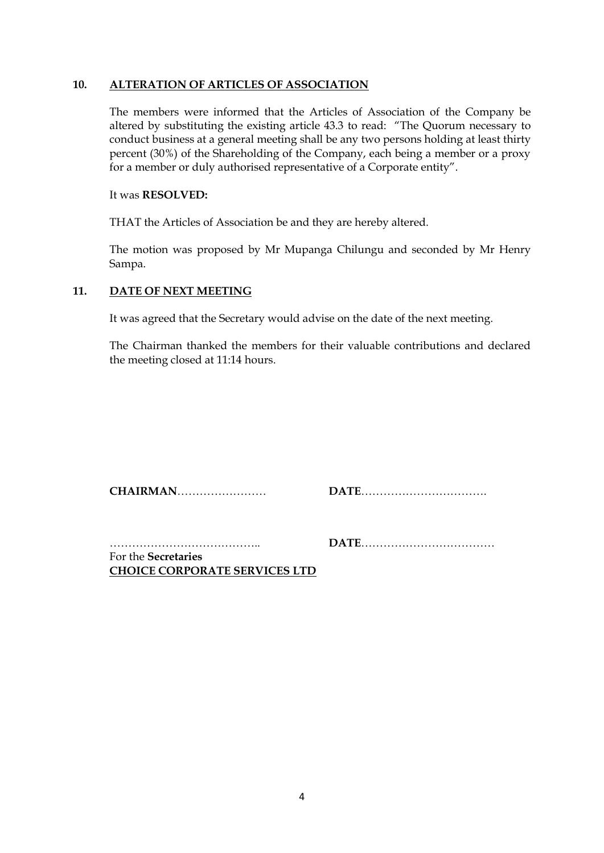#### **10. ALTERATION OF ARTICLES OF ASSOCIATION**

The members were informed that the Articles of Association of the Company be altered by substituting the existing article 43.3 to read: "The Quorum necessary to conduct business at a general meeting shall be any two persons holding at least thirty percent (30%) of the Shareholding of the Company, each being a member or a proxy for a member or duly authorised representative of a Corporate entity".

### It was **RESOLVED:**

THAT the Articles of Association be and they are hereby altered.

The motion was proposed by Mr Mupanga Chilungu and seconded by Mr Henry Sampa.

## **11. DATE OF NEXT MEETING**

It was agreed that the Secretary would advise on the date of the next meeting.

The Chairman thanked the members for their valuable contributions and declared the meeting closed at 11:14 hours.

**CHAIRMAN**…………………… **DATE**…………………………….

………………………………….. **DATE**………………………………

For the **Secretaries CHOICE CORPORATE SERVICES LTD**